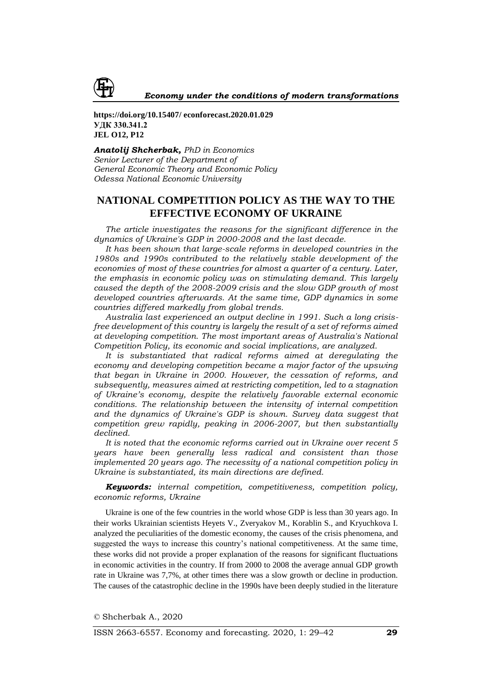

**https://doi.org/10.15407/ econforecast.2020.01.029 УДК 330.341.2 JEL O12, P12**

*Anatolij Shcherbak, PhD in Economics Senior Lecturer of the Department of General Economic Theory and Economic Policy Odessa National Economic University*

# **NATIONAL COMPETITION POLICY AS THE WAY TO THE EFFECTIVE ECONOMY OF UKRAINE**

*The article investigates the reasons for the significant difference in the dynamics of Ukraine's GDP in 2000-2008 and the last decade.*

*It has been shown that large-scale reforms in developed countries in the 1980s and 1990s contributed to the relatively stable development of the economies of most of these countries for almost a quarter of a century. Later, the emphasis in economic policy was on stimulating demand. This largely caused the depth of the 2008-2009 crisis and the slow GDP growth of most developed countries afterwards. At the same time, GDP dynamics in some countries differed markedly from global trends.*

*Australia last experienced an output decline in 1991. Such a long crisisfree development of this country is largely the result of a set of reforms aimed at developing competition. The most important areas of Australia's National Competition Policy, its economic and social implications, are analyzed.*

*It is substantiated that radical reforms aimed at deregulating the economy and developing competition became a major factor of the upswing that began in Ukraine in 2000. However, the cessation of reforms, and subsequently, measures aimed at restricting competition, led to a stagnation of Ukraine's economy, despite the relatively favorable external economic conditions. The relationship between the intensity of internal competition and the dynamics of Ukraine's GDP is shown. Survey data suggest that competition grew rapidly, peaking in 2006-2007, but then substantially declined.*

*It is noted that the economic reforms carried out in Ukraine over recent 5 years have been generally less radical and consistent than those implemented 20 years ago. The necessity of a national competition policy in Ukraine is substantiated, its main directions are defined.*

*Keywords: internal competition, competitiveness, competition policy, economic reforms, Ukraine* 

Ukraine is one of the few countries in the world whose GDP is less than 30 years ago. In their works Ukrainian scientists Heyets V., Zveryakov M., Korablin S., and Kryuchkova I. analyzed the peculiarities of the domestic economy, the causes of the crisis phenomena, and suggested the ways to increase this country's national competitiveness. At the same time, these works did not provide a proper explanation of the reasons for significant fluctuations in economic activities in the country. If from 2000 to 2008 the average annual GDP growth rate in Ukraine was 7,7%, at other times there was a slow growth or decline in production. The causes of the catastrophic decline in the 1990s have been deeply studied in the literature

*©* Shcherbak A., 2020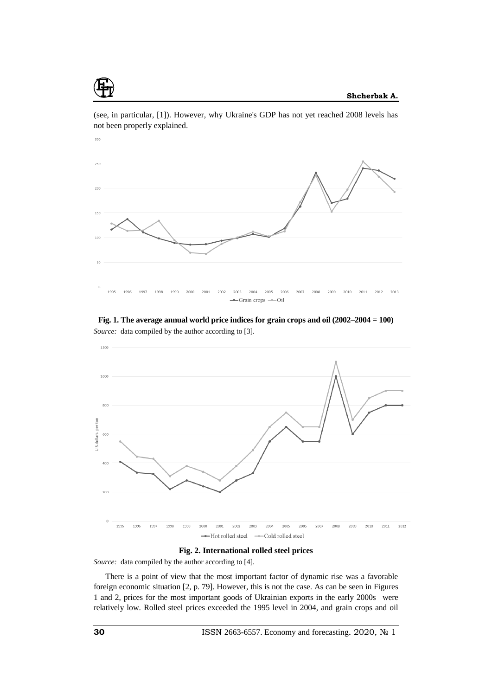

(see, in particular, [1]). However, why Ukraine's GDP has not yet reached 2008 levels has not been properly explained.

**Fig. 1. The average annual world price indices for grain crops and oil (2002–2004 = 100)** *Source:* data compiled by the author according to [3].



**Fig. 2. International rolled steel prices**

*Source:* data compiled by the author according to [4].

There is a point of view that the most important factor of dynamic rise was a favorable foreign economic situation [2, p. 79]. However, this is not the case. As can be seen in Figures 1 and 2, prices for the most important goods of Ukrainian exports in the early 2000s were relatively low. Rolled steel prices exceeded the 1995 level in 2004, and grain crops and oil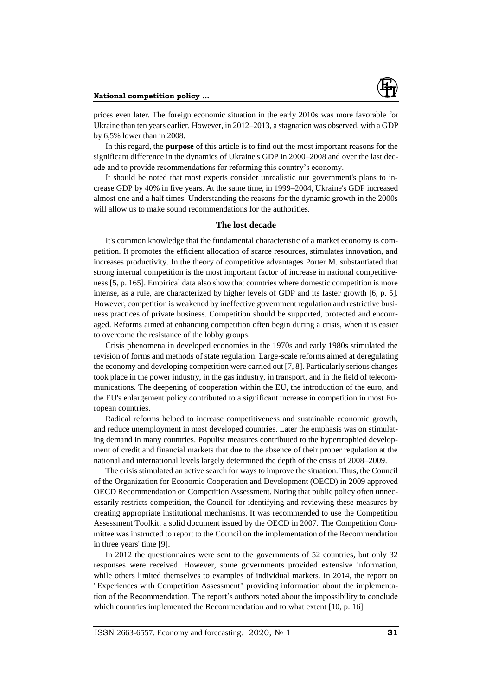

prices even later. The foreign economic situation in the early 2010s was more favorable for Ukraine than ten years earlier. However, in 2012–2013, a stagnation was observed, with a GDP by 6,5% lower than in 2008.

In this regard, the **purpose** of this article is to find out the most important reasons for the significant difference in the dynamics of Ukraine's GDP in 2000–2008 and over the last decade and to provide recommendations for reforming this country's economy.

It should be noted that most experts consider unrealistic our government's plans to increase GDP by 40% in five years. At the same time, in 1999–2004, Ukraine's GDP increased almost one and a half times. Understanding the reasons for the dynamic growth in the 2000s will allow us to make sound recommendations for the authorities.

# **The lost decade**

It's common knowledge that the fundamental characteristic of a market economy is competition. It promotes the efficient allocation of scarce resources, stimulates innovation, and increases productivity. In the theory of competitive advantages Porter M. substantiated that strong internal competition is the most important factor of increase in national competitiveness [5, p. 165]. Empirical data also show that countries where domestic competition is more intense, as a rule, are characterized by higher levels of GDP and its faster growth [6, p. 5]. However, competition is weakened by ineffective government regulation and restrictive business practices of private business. Competition should be supported, protected and encouraged. Reforms aimed at enhancing competition often begin during a crisis, when it is easier to overcome the resistance of the lobby groups.

Crisis phenomena in developed economies in the 1970s and early 1980s stimulated the revision of forms and methods of state regulation. Large-scale reforms aimed at deregulating the economy and developing competition were carried out [7, 8]. Particularly serious changes took place in the power industry, in the gas industry, in transport, and in the field of telecommunications. The deepening of cooperation within the EU, the introduction of the euro, and the EU's enlargement policy contributed to a significant increase in competition in most European countries.

Radical reforms helped to increase competitiveness and sustainable economic growth, and reduce unemployment in most developed countries. Later the emphasis was on stimulating demand in many countries. Populist measures contributed to the hypertrophied development of credit and financial markets that due to the absence of their proper regulation at the national and international levels largely determined the depth of the crisis of 2008–2009.

The crisis stimulated an active search for ways to improve the situation. Thus, the Council of the Organization for Economic Cooperation and Development (OECD) in 2009 approved OECD Recommendation on Competition Assessment. Noting that public policy often unnecessarily restricts competition, the Council for identifying and reviewing these measures by creating appropriate institutional mechanisms. It was recommended to use the Competition Assessment Toolkit, a solid document issued by the OECD in 2007. The Competition Committee was instructed to report to the Council on the implementation of the Recommendation in three years' time [9].

In 2012 the questionnaires were sent to the governments of 52 countries, but only 32 responses were received. However, some governments provided extensive information, while others limited themselves to examples of individual markets. In 2014, the report on "Experiences with Competition Assessment" providing information about the implementation of the Recommendation. The report's authors noted about the impossibility to conclude which countries implemented the Recommendation and to what extent [10, p. 16].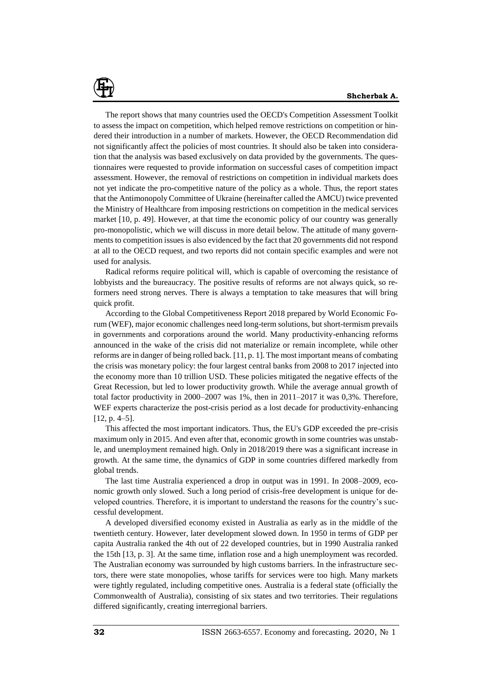The report shows that many countries used the OECD's Competition Assessment Toolkit to assess the impact on competition, which helped remove restrictions on competition or hindered their introduction in a number of markets. However, the OECD Recommendation did not significantly affect the policies of most countries. It should also be taken into consideration that the analysis was based exclusively on data provided by the governments. The questionnaires were requested to provide information on successful cases of competition impact assessment. However, the removal of restrictions on competition in individual markets does not yet indicate the pro-competitive nature of the policy as a whole. Thus, the report states that the Antimonopoly Committee of Ukraine (hereinafter called the AMCU) twice prevented the Ministry of Healthcare from imposing restrictions on competition in the medical services market [10, p. 49]. However, at that time the economic policy of our country was generally pro-monopolistic, which we will discuss in more detail below. The attitude of many governments to competition issues is also evidenced by the fact that 20 governments did not respond at all to the OECD request, and two reports did not contain specific examples and were not used for analysis.

Radical reforms require political will, which is capable of overcoming the resistance of lobbyists and the bureaucracy. The positive results of reforms are not always quick, so reformers need strong nerves. There is always a temptation to take measures that will bring quick profit.

According to the Global Competitiveness Report 2018 prepared by World Economic Forum (WEF), major economic challenges need long-term solutions, but short-termism prevails in governments and corporations around the world. Many productivity-enhancing reforms announced in the wake of the crisis did not materialize or remain incomplete, while other reforms are in danger of being rolled back. [11, p. 1]. The most important means of combating the crisis was monetary policy: the four largest central banks from 2008 to 2017 injected into the economy more than 10 trillion USD. These policies mitigated the negative effects of the Great Recession, but led to lower productivity growth. While the average annual growth of total factor productivity in 2000–2007 was 1%, then in 2011–2017 it was 0,3%. Therefore, WEF experts characterize the post-crisis period as a lost decade for productivity-enhancing [12, p. 4–5].

This affected the most important indicators. Thus, the EU's GDP exceeded the pre-crisis maximum only in 2015. And even after that, economic growth in some countries was unstable, and unemployment remained high. Only in 2018/2019 there was a significant increase in growth. At the same time, the dynamics of GDP in some countries differed markedly from global trends.

The last time Australia experienced a drop in output was in 1991. In 2008–2009, economic growth only slowed. Such a long period of crisis-free development is unique for developed countries. Therefore, it is important to understand the reasons for the country's successful development.

A developed diversified economy existed in Australia as early as in the middle of the twentieth century. However, later development slowed down. In 1950 in terms of GDP per capita Australia ranked the 4th out of 22 developed countries, but in 1990 Australia ranked the 15th [13, p. 3]. At the same time, inflation rose and a high unemployment was recorded. The Australian economy was surrounded by high customs barriers. In the infrastructure sectors, there were state monopolies, whose tariffs for services were too high. Many markets were tightly regulated, including competitive ones. Australia is a federal state (officially the Commonwealth of Australia), consisting of six states and two territories. Their regulations differed significantly, creating interregional barriers.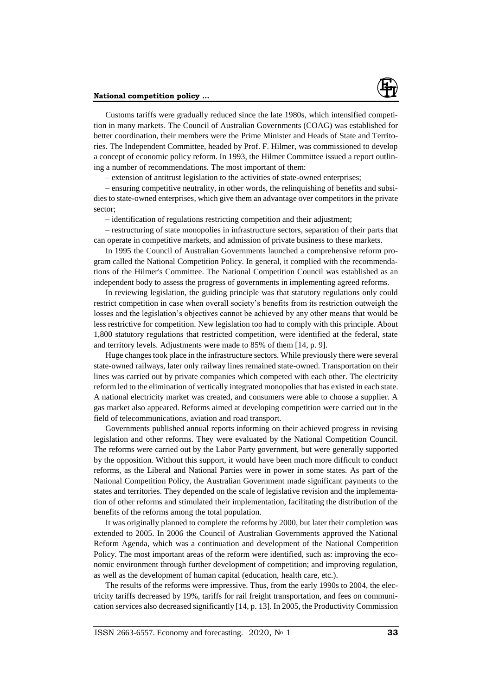

Customs tariffs were gradually reduced since the late 1980s, which intensified competition in many markets. The Council of Australian Governments (COAG) was established for better coordination, their members were the Prime Minister and Heads of State and Territories. The Independent Committee, headed by Prof. F. Hilmer, was commissioned to develop a concept of economic policy reform. In 1993, the Hilmer Committee issued a report outlining a number of recommendations. The most important of them:

– extension of antitrust legislation to the activities of state-owned enterprises;

– ensuring competitive neutrality, in other words, the relinquishing of benefits and subsidies to state-owned enterprises, which give them an advantage over competitors in the private sector;

– identification of regulations restricting competition and their adjustment;

– restructuring of state monopolies in infrastructure sectors, separation of their parts that can operate in competitive markets, and admission of private business to these markets.

In 1995 the Council of Australian Governments launched a comprehensive reform program called the National Competition Policy. In general, it complied with the recommendations of the Hilmer's Committee. The National Competition Council was established as an independent body to assess the progress of governments in implementing agreed reforms.

In reviewing legislation, the guiding principle was that statutory regulations only could restrict competition in case when overall society's benefits from its restriction outweigh the losses and the legislation's objectives cannot be achieved by any other means that would be less restrictive for competition. New legislation too had to comply with this principle. About 1,800 statutory regulations that restricted competition, were identified at the federal, state and territory levels. Adjustments were made to 85% of them [14, p. 9].

Huge changes took place in the infrastructure sectors. While previously there were several state-owned railways, later only railway lines remained state-owned. Transportation on their lines was carried out by private companies which competed with each other. The electricity reform led to the elimination of vertically integrated monopolies that has existed in each state. A national electricity market was created, and consumers were able to choose a supplier. A gas market also appeared. Reforms aimed at developing competition were carried out in the field of telecommunications, aviation and road transport.

Governments published annual reports informing on their achieved progress in revising legislation and other reforms. They were evaluated by the National Competition Council. The reforms were carried out by the Labor Party government, but were generally supported by the opposition. Without this support, it would have been much more difficult to conduct reforms, as the Liberal and National Parties were in power in some states. As part of the National Competition Policy, the Australian Government made significant payments to the states and territories. They depended on the scale of legislative revision and the implementation of other reforms and stimulated their implementation, facilitating the distribution of the benefits of the reforms among the total population.

It was originally planned to complete the reforms by 2000, but later their completion was extended to 2005. In 2006 the Council of Australian Governments approved the National Reform Agenda, which was a continuation and development of the National Competition Policy. The most important areas of the reform were identified, such as: improving the economic environment through further development of competition; and improving regulation, as well as the development of human capital (education, health care, etc.).

The results of the reforms were impressive. Thus, from the early 1990s to 2004, the electricity tariffs decreased by 19%, tariffs for rail freight transportation, and fees on communication services also decreased significantly [14, p. 13]. In 2005, the Productivity Commission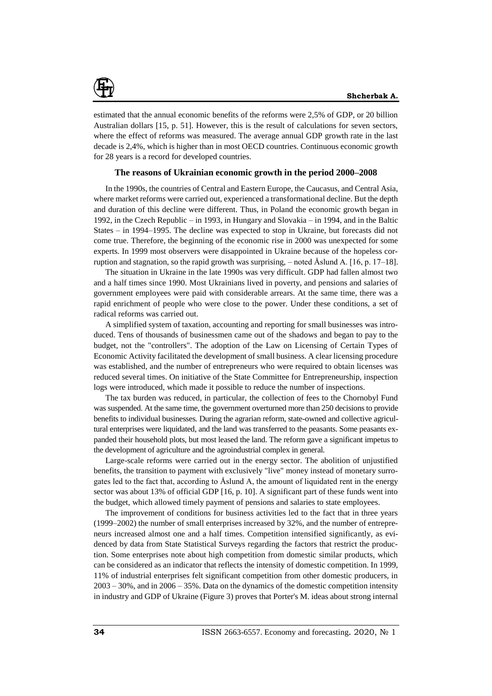

estimated that the annual economic benefits of the reforms were 2,5% of GDP, or 20 billion Australian dollars [15, p. 51]. However, this is the result of calculations for seven sectors, where the effect of reforms was measured. The average annual GDP growth rate in the last decade is 2,4%, which is higher than in most OECD countries. Continuous economic growth for 28 years is a record for developed countries.

### **The reasons of Ukrainian economic growth in the period 2000–2008**

In the 1990s, the countries of Central and Eastern Europe, the Caucasus, and Central Asia, where market reforms were carried out, experienced a transformational decline. But the depth and duration of this decline were different. Thus, in Poland the economic growth began in 1992, in the Czech Republic – in 1993, in Hungary and Slovakia – in 1994, and in the Baltic States – in 1994–1995. The decline was expected to stop in Ukraine, but forecasts did not come true. Therefore, the beginning of the economic rise in 2000 was unexpected for some experts. In 1999 most observers were disappointed in Ukraine because of the hopeless corruption and stagnation, so the rapid growth was surprising,  $-$  noted Åslund A. [16, p. 17–18].

The situation in Ukraine in the late 1990s was very difficult. GDP had fallen almost two and a half times since 1990. Most Ukrainians lived in poverty, and pensions and salaries of government employees were paid with considerable arrears. At the same time, there was a rapid enrichment of people who were close to the power. Under these conditions, a set of radical reforms was carried out.

A simplified system of taxation, accounting and reporting for small businesses was introduced. Tens of thousands of businessmen came out of the shadows and began to pay to the budget, not the "controllers". The adoption of the Law on Licensing of Certain Types of Economic Activity facilitated the development of small business. A clear licensing procedure was established, and the number of entrepreneurs who were required to obtain licenses was reduced several times. On initiative of the State Committee for Entrepreneurship, inspection logs were introduced, which made it possible to reduce the number of inspections.

The tax burden was reduced, in particular, the collection of fees to the Chornobyl Fund was suspended. At the same time, the government overturned more than 250 decisions to provide benefits to individual businesses. During the agrarian reform, state-owned and collective agricultural enterprises were liquidated, and the land was transferred to the peasants. Some peasants expanded their household plots, but most leased the land. The reform gave a significant impetus to the development of agriculture and the agroindustrial complex in general.

Large-scale reforms were carried out in the energy sector. The abolition of unjustified benefits, the transition to payment with exclusively "live" money instead of monetary surrogates led to the fact that, according to Åslund A, the amount of liquidated rent in the energy sector was about 13% of official GDP [16, p. 10]. A significant part of these funds went into the budget, which allowed timely payment of pensions and salaries to state employees.

The improvement of conditions for business activities led to the fact that in three years (1999–2002) the number of small enterprises increased by 32%, and the number of entrepreneurs increased almost one and a half times. Competition intensified significantly, as evidenced by data from State Statistical Surveys regarding the factors that restrict the production. Some enterprises note about high competition from domestic similar products, which can be considered as an indicator that reflects the intensity of domestic competition. In 1999, 11% of industrial enterprises felt significant competition from other domestic producers, in 2003 – 30%, and in 2006 – 35%. Data on the dynamics of the domestic competition intensity in industry and GDP of Ukraine (Figure 3) proves that Porter's M. ideas about strong internal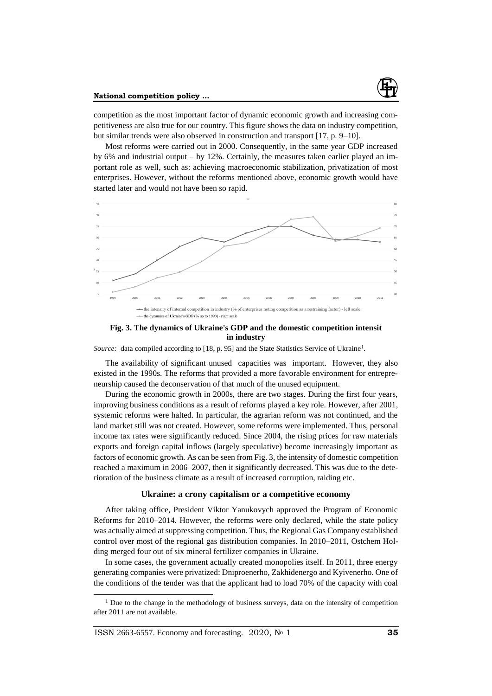

#### **National competition policy ...**

competition as the most important factor of dynamic economic growth and increasing competitiveness are also true for our country. This figure shows the data on industry competition, but similar trends were also observed in construction and transport [17, p. 9–10].

Most reforms were carried out in 2000. Consequently, in the same year GDP increased by 6% and industrial output – by 12%. Certainly, the measures taken earlier played an important role as well, such as: achieving macroeconomic stabilization, privatization of most enterprises. However, without the reforms mentioned above, economic growth would have started later and would not have been so rapid.



**Fig. 3. The dynamics of Ukraine's GDP and the domestic competition intensit in industry**

Source: data compiled according to [18, p. 95] and the State Statistics Service of Ukraine<sup>1</sup>.

The availability of significant unused capacities was important. However, they also existed in the 1990s. The reforms that provided a more favorable environment for entrepreneurship caused the deconservation of that much of the unused equipment.

During the economic growth in 2000s, there are two stages. During the first four years, improving business conditions as a result of reforms played a key role. However, after 2001, systemic reforms were halted. In particular, the agrarian reform was not continued, and the land market still was not created. However, some reforms were implemented. Thus, personal income tax rates were significantly reduced. Since 2004, the rising prices for raw materials exports and foreign capital inflows (largely speculative) become increasingly important as factors of economic growth. As can be seen from Fig. 3, the intensity of domestic competition reached a maximum in 2006–2007, then it significantly decreased. This was due to the deterioration of the business climate as a result of increased corruption, raiding etc.

# **Ukraine: a crony capitalism or a competitive economy**

After taking office, President Viktor Yanukovych approved the Program of Economic Reforms for 2010–2014. However, the reforms were only declared, while the state policy was actually aimed at suppressing competition. Thus, the Regional Gas Company established control over most of the regional gas distribution companies. In 2010–2011, Ostchem Holding merged four out of six mineral fertilizer companies in Ukraine.

In some cases, the government actually created monopolies itself. In 2011, three energy generating companies were privatized: Dniproenerho, Zakhidenergo and Kyivenerho. One of the conditions of the tender was that the applicant had to load 70% of the capacity with coal

ISSN 2663-6557. Economy and forecasting. 2020, № 1 **35**

 $\overline{a}$ 

 $<sup>1</sup>$  Due to the change in the methodology of business surveys, data on the intensity of competition</sup> after 2011 are not available.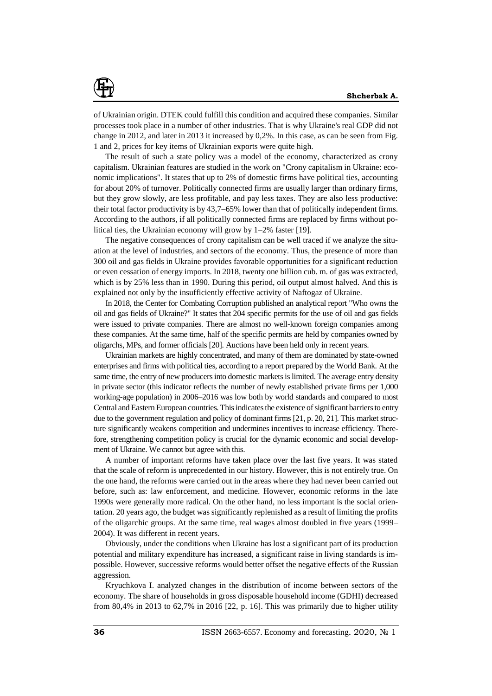

of Ukrainian origin. DTEK could fulfill this condition and acquired these companies. Similar processes took place in a number of other industries. That is why Ukraine's real GDP did not change in 2012, and later in 2013 it increased by 0,2%. In this case, as can be seen from Fig. 1 and 2, prices for key items of Ukrainian exports were quite high.

The result of such a state policy was a model of the economy, characterized as crony capitalism. Ukrainian features are studied in the work on "Crony capitalism in Ukraine: economic implications". It states that up to 2% of domestic firms have political ties, accounting for about 20% of turnover. Politically connected firms are usually larger than ordinary firms, but they grow slowly, are less profitable, and pay less taxes. They are also less productive: their total factor productivity is by 43,7–65% lower than that of politically independent firms. According to the authors, if all politically connected firms are replaced by firms without political ties, the Ukrainian economy will grow by 1–2% faster [19].

The negative consequences of crony capitalism can be well traced if we analyze the situation at the level of industries, and sectors of the economy. Thus, the presence of more than 300 oil and gas fields in Ukraine provides favorable opportunities for a significant reduction or even cessation of energy imports. In 2018, twenty one billion cub. m. of gas was extracted, which is by 25% less than in 1990. During this period, oil output almost halved. And this is explained not only by the insufficiently effective activity of Naftogaz of Ukraine.

In 2018, the Center for Combating Corruption published an analytical report "Who owns the oil and gas fields of Ukraine?" It states that 204 specific permits for the use of oil and gas fields were issued to private companies. There are almost no well-known foreign companies among these companies. At the same time, half of the specific permits are held by companies owned by oligarchs, MPs, and former officials [20]. Auctions have been held only in recent years.

Ukrainian markets are highly concentrated, and many of them are dominated by state-owned enterprises and firms with political ties, according to a report prepared by the World Bank. At the same time, the entry of new producers into domestic markets is limited. The average entry density in private sector (this indicator reflects the number of newly established private firms per 1,000 working-age population) in 2006–2016 was low both by world standards and compared to most Central and Eastern European countries. This indicates the existence of significant barriers to entry due to the government regulation and policy of dominant firms [21, p. 20, 21]. This market structure significantly weakens competition and undermines incentives to increase efficiency. Therefore, strengthening competition policy is crucial for the dynamic economic and social development of Ukraine. We cannot but agree with this.

A number of important reforms have taken place over the last five years. It was stated that the scale of reform is unprecedented in our history. However, this is not entirely true. On the one hand, the reforms were carried out in the areas where they had never been carried out before, such as: law enforcement, and medicine. However, economic reforms in the late 1990s were generally more radical. On the other hand, no less important is the social orientation. 20 years ago, the budget was significantly replenished as a result of limiting the profits of the oligarchic groups. At the same time, real wages almost doubled in five years (1999– 2004). It was different in recent years.

Obviously, under the conditions when Ukraine has lost a significant part of its production potential and military expenditure has increased, a significant raise in living standards is impossible. However, successive reforms would better offset the negative effects of the Russian aggression.

Kryuchkova I. analyzed changes in the distribution of income between sectors of the economy. The share of households in gross disposable household income (GDHI) decreased from 80,4% in 2013 to 62,7% in 2016 [22, p. 16]. This was primarily due to higher utility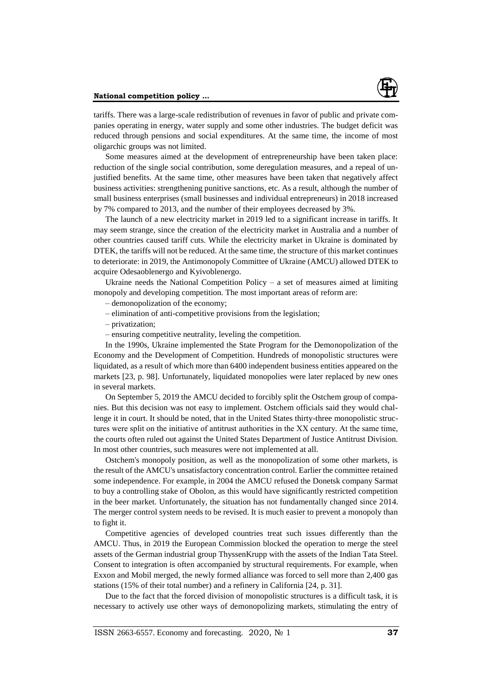

tariffs. There was a large-scale redistribution of revenues in favor of public and private companies operating in energy, water supply and some other industries. The budget deficit was reduced through pensions and social expenditures. At the same time, the income of most oligarchic groups was not limited.

Some measures aimed at the development of entrepreneurship have been taken place: reduction of the single social contribution, some deregulation measures, and a repeal of unjustified benefits. At the same time, other measures have been taken that negatively affect business activities: strengthening punitive sanctions, etc. As a result, although the number of small business enterprises (small businesses and individual entrepreneurs) in 2018 increased by 7% compared to 2013, and the number of their employees decreased by 3%.

The launch of a new electricity market in 2019 led to a significant increase in tariffs. It may seem strange, since the creation of the electricity market in Australia and a number of other countries caused tariff cuts. While the electricity market in Ukraine is dominated by DTEK, the tariffs will not be reduced. At the same time, the structure of this market continues to deteriorate: in 2019, the Antimonopoly Committee of Ukraine (AMCU) allowed DTEK to acquire Odesaoblenergo and Kyivoblenergo.

Ukraine needs the National Competition Policy  $-$  a set of measures aimed at limiting monopoly and developing competition. The most important areas of reform are:

– demonopolization of the economy;

– elimination of anti-competitive provisions from the legislation;

– privatization;

– ensuring competitive neutrality, leveling the competition.

In the 1990s, Ukraine implemented the State Program for the Demonopolization of the Economy and the Development of Competition. Hundreds of monopolistic structures were liquidated, as a result of which more than 6400 independent business entities appeared on the markets [23, p. 98]. Unfortunately, liquidated monopolies were later replaced by new ones in several markets.

On September 5, 2019 the AMCU decided to forcibly split the Ostchem group of companies. But this decision was not easy to implement. Ostchem officials said they would challenge it in court. It should be noted, that in the United States thirty-three monopolistic structures were split on the initiative of antitrust authorities in the ХХ century. At the same time, the courts often ruled out against the United States Department of Justice Antitrust Division. In most other countries, such measures were not implemented at all.

Ostchem's monopoly position, as well as the monopolization of some other markets, is the result of the AMCU's unsatisfactory concentration control. Earlier the committee retained some independence. For example, in 2004 the AMCU refused the Donetsk company Sarmat to buy a controlling stake of Obolon, as this would have significantly restricted competition in the beer market. Unfortunately, the situation has not fundamentally changed since 2014. The merger control system needs to be revised. It is much easier to prevent a monopoly than to fight it.

Competitive agencies of developed countries treat such issues differently than the AMCU. Thus, in 2019 the European Commission blocked the operation to merge the steel assets of the German industrial group ThyssenKrupp with the assets of the Indian Tata Steel. Consent to integration is often accompanied by structural requirements. For example, when Exxon and Mobil merged, the newly formed alliance was forced to sell more than 2,400 gas stations (15% of their total number) and a refinery in California [24, p. 31].

Due to the fact that the forced division of monopolistic structures is a difficult task, it is necessary to actively use other ways of demonopolizing markets, stimulating the entry of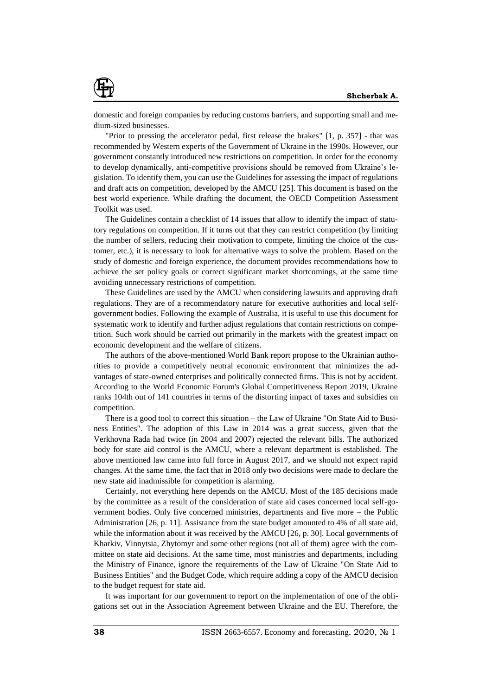

domestic and foreign companies by reducing customs barriers, and supporting small and medium-sized businesses.

"Prior to pressing the accelerator pedal, first release the brakes" [1, p. 357] - that was recommended by Western experts of the Government of Ukraine in the 1990s. However, our government constantly introduced new restrictions on competition. In order for the economy to develop dynamically, anti-competitive provisions should be removed from Ukraine's legislation. To identify them, you can use the Guidelines for assessing the impact of regulations and draft acts on competition, developed by the AMCU [25]. This document is based on the best world experience. While drafting the document, the OECD Competition Assessment Toolkit was used.

The Guidelines contain a checklist of 14 issues that allow to identify the impact of statutory regulations on competition. If it turns out that they can restrict competition (by limiting the number of sellers, reducing their motivation to compete, limiting the choice of the customer, etc.), it is necessary to look for alternative ways to solve the problem. Based on the study of domestic and foreign experience, the document provides recommendations how to achieve the set policy goals or correct significant market shortcomings, at the same time avoiding unnecessary restrictions of competition.

These Guidelines are used by the AMCU when considering lawsuits and approving draft regulations. They are of a recommendatory nature for executive authorities and local selfgovernment bodies. Following the example of Australia, it is useful to use this document for systematic work to identify and further adjust regulations that contain restrictions on competition. Such work should be carried out primarily in the markets with the greatest impact on economic development and the welfare of citizens.

The authors of the above-mentioned World Bank report propose to the Ukrainian authorities to provide a competitively neutral economic environment that minimizes the advantages of state-owned enterprises and politically connected firms. This is not by accident. According to the World Economic Forum's Global Competitiveness Report 2019, Ukraine ranks 104th out of 141 countries in terms of the distorting impact of taxes and subsidies on competition.

There is a good tool to correct this situation – the Law of Ukraine "On State Aid to Business Entities". The adoption of this Law in 2014 was a great success, given that the Verkhovna Rada had twice (in 2004 and 2007) rejected the relevant bills. The authorized body for state aid control is the AMCU, where a relevant department is established. The above mentioned law came into full force in August 2017, and we should not expect rapid changes. At the same time, the fact that in 2018 only two decisions were made to declare the new state aid inadmissible for competition is alarming.

Certainly, not everything here depends on the AMCU. Most of the 185 decisions made by the committee as a result of the consideration of state aid cases concerned local self-government bodies. Only five concerned ministries, departments and five more – the Public Administration [26, p. 11]. Assistance from the state budget amounted to 4% of all state aid, while the information about it was received by the AMCU [26, p. 30]. Local governments of Kharkiv, Vinnytsia, Zhytomyr and some other regions (not all of them) agree with the committee on state aid decisions. At the same time, most ministries and departments, including the Ministry of Finance, ignore the requirements of the Law of Ukraine "On State Aid to Business Entities" and the Budget Code, which require adding a copy of the AMCU decision to the budget request for state aid.

It was important for our government to report on the implementation of one of the obligations set out in the Association Agreement between Ukraine and the EU. Therefore, the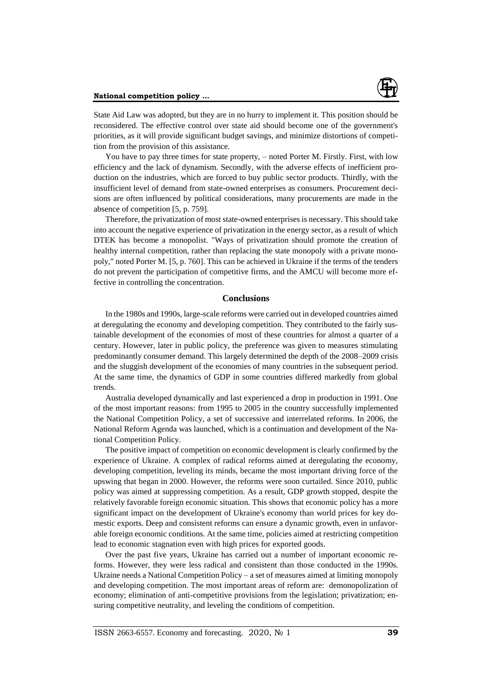

State Aid Law was adopted, but they are in no hurry to implement it. This position should be reconsidered. The effective control over state aid should become one of the government's priorities, as it will provide significant budget savings, and minimize distortions of competition from the provision of this assistance.

You have to pay three times for state property, – noted Porter M. Firstly. First, with low efficiency and the lack of dynamism. Secondly, with the adverse effects of inefficient production on the industries, which are forced to buy public sector products. Thirdly, with the insufficient level of demand from state-owned enterprises as consumers. Procurement decisions are often influenced by political considerations, many procurements are made in the absence of competition [5, p. 759].

Therefore, the privatization of most state-owned enterprises is necessary. This should take into account the negative experience of privatization in the energy sector, as a result of which DTEK has become a monopolist. "Ways of privatization should promote the creation of healthy internal competition, rather than replacing the state monopoly with a private monopoly," noted Porter M. [5, p. 760]. This can be achieved in Ukraine if the terms of the tenders do not prevent the participation of competitive firms, and the AMCU will become more effective in controlling the concentration.

### **Conclusions**

In the 1980s and 1990s, large-scale reforms were carried out in developed countries aimed at deregulating the economy and developing competition. They contributed to the fairly sustainable development of the economies of most of these countries for almost a quarter of a century. However, later in public policy, the preference was given to measures stimulating predominantly consumer demand. This largely determined the depth of the 2008–2009 crisis and the sluggish development of the economies of many countries in the subsequent period. At the same time, the dynamics of GDP in some countries differed markedly from global trends.

Australia developed dynamically and last experienced a drop in production in 1991. One of the most important reasons: from 1995 to 2005 in the country successfully implemented the National Competition Policy, a set of successive and interrelated reforms. In 2006, the National Reform Agenda was launched, which is a continuation and development of the National Competition Policy.

The positive impact of competition on economic development is clearly confirmed by the experience of Ukraine. A complex of radical reforms aimed at deregulating the economy, developing competition, leveling its minds, became the most important driving force of the upswing that began in 2000. However, the reforms were soon curtailed. Since 2010, public policy was aimed at suppressing competition. As a result, GDP growth stopped, despite the relatively favorable foreign economic situation. This shows that economic policy has a more significant impact on the development of Ukraine's economy than world prices for key domestic exports. Deep and consistent reforms can ensure a dynamic growth, even in unfavorable foreign economic conditions. At the same time, policies aimed at restricting competition lead to economic stagnation even with high prices for exported goods.

Over the past five years, Ukraine has carried out a number of important economic reforms. However, they were less radical and consistent than those conducted in the 1990s. Ukraine needs a National Competition Policy – a set of measures aimed at limiting monopoly and developing competition. The most important areas of reform are: demonopolization of economy; elimination of anti-competitive provisions from the legislation; privatization; ensuring competitive neutrality, and leveling the conditions of competition.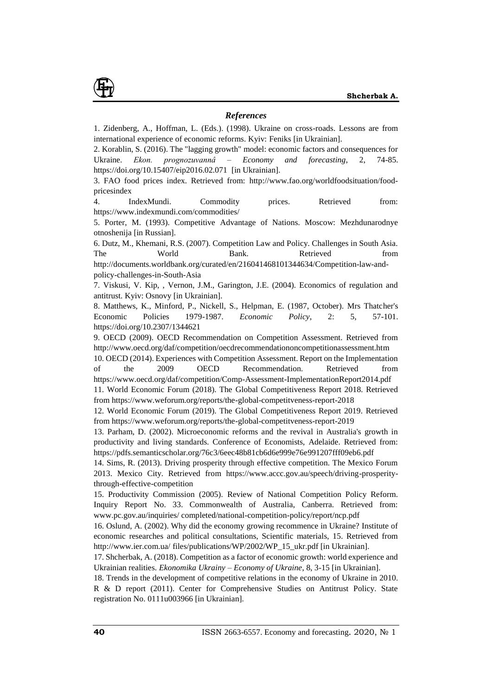

### *References*

1. Zidenberg, A., Hoffman, L. (Eds.). (1998). Ukraine on cross-roads. Lessons are from international experience of economic reforms. Kyiv: Feniks [in Ukrainian].

2. Korablin, S. (2016). The "lagging growth" model: economic factors and consequences for Ukraine. *Ekon. prognozuvannâ – Economy and forecasting*, 2, 74-85. <https://doi.org/10.15407/eip2016.02.071>[in Ukrainian].

3. FAO food prices index. Retrieved from: http://www.fao.org/worldfoodsituation/foodpricesindex

4. IndexMundi. Commodity prices. Retrieved from: https://www.indexmundi.com/commodities/

5. Porter, M. (1993). Competitive Advantage of Nations. Moscow: Mezhdunarodnye otnoshenija [in Russian].

6. Dutz, M., Khemani, R.S. (2007). Competition Law and Policy. Challenges in South Asia. The World Bank. Retrieved from http://documents.worldbank.org/curated/en/216041468101344634/Competition-law-andpolicy-challenges-in-South-Asia

7. Viskusi, V. Kip, , Vernon, J.M., Garington, J.E. (2004). Economics of regulation and antitrust. Kyiv: Osnovy [in Ukrainian].

8. Matthews, K., Minford, P., Nickell, S., Helpman, E. (1987, October). Mrs Thatcher's Economic Policies 1979-1987. *Economic Policy*, 2: 5, 57-101. https://doi.org/10.2307/1344621

9. OECD (2009). OECD Recommendation on Competition Assessment. Retrieved from http://www.oecd.org/daf/competition/oecdrecommendationoncompetitionassessment.htm

10. OECD (2014). Experiences with Competition Assessment. Report on the Implementation of the 2009 OECD Recommendation. Retrieved from https://www.oecd.org/daf/competition/Comp-Assessment-ImplementationReport2014.pdf 11. World Economic Forum (2018). The Global Competitiveness Report 2018. Retrieved

from https://www.weforum.org/reports/the-global-competitveness-report-2018

12. World Economic Forum (2019). The Global Competitiveness Report 2019. Retrieved from https://www.weforum.org/reports/the-global-competitveness-report-2019

13. Parham, D. (2002). Microeconomic reforms and the revival in Australia's growth in productivity and living standards. Conference of Economists, Adelaide. Retrieved from: https://pdfs.semanticscholar.org/76c3/6eec48b81cb6d6e999e76e991207fff09eb6.pdf

14. Sims, R. (2013). Driving prosperity through effective competition. The Mexico Forum 2013. Mexico City. Retrieved from https://www.accc.gov.au/speech/driving-prosperitythrough-effective-competition

15. Productivity Commission (2005). Review of National Competition Policy Reform. Inquiry Report No. 33. Commonwealth of Australia, Canberra. Retrieved from: [www.pc.gov.au/i](http://www.pc.gov.au/)nquiries/ completed/national-competition-policy/report/ncp.pdf

16. Oslund, A. (2002). Why did the economy growing recommence in Ukraine? Institute of economic researches and political consultations, Scientific materials, 15. Retrieved from <http://www.ier.com.ua/> files/publications/WP/2002/WP\_15\_ukr.pdf [in Ukrainian].

17. Shcherbak, A. (2018). Competition as a factor of economic growth: world experience and Ukrainian realities. *Ekonomika Ukrainy – Economy of Ukraine*, 8, 3-15 [in Ukrainian].

18. Trends in the development of competitive relations in the economy of Ukraine in 2010. R & D report (2011). Center for Comprehensive Studies on Antitrust Policy. State registration No. 0111u003966 [in Ukrainian].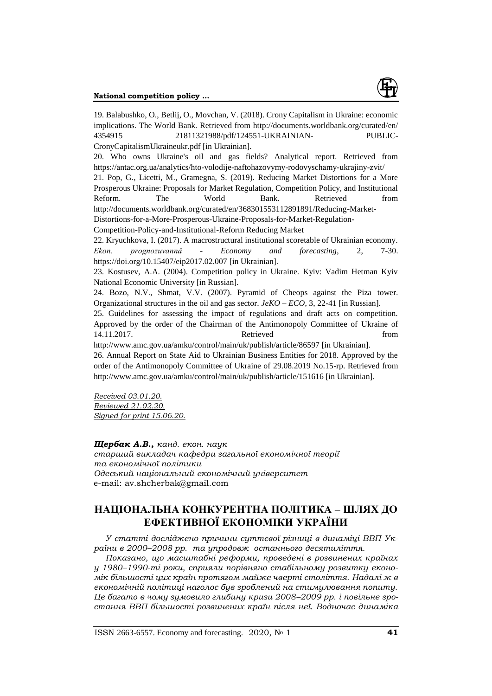

19. Balabushko, O., Betlij, O., Movchan, V. (2018). Crony Capitalism in Ukraine: economic implications. The World Bank. Retrieved from<http://documents.worldbank.org/curated/en/> 4354915 21811321988/pdf/124551-UKRAINIAN- PUBLIC-CronyCapitalismUkraineukr.pdf [in Ukrainian]. 20. Who owns Ukraine's oil and gas fields? Analytical report. Retrieved from https://antac.org.ua/analytics/hto-volodije-naftohazovymy-rodovyschamy-ukrajiny-zvit/ 21. Pop, G., Licetti, M., Gramegna, S. (2019). Reducing Market Distortions for a More Prosperous Ukraine: Proposals for Market Regulation, Competition Policy, and Institutional Reform. The World Bank. Retrieved from http://documents.worldbank.org/curated/en/368301553112891891/Reducing-Market-Distortions-for-a-More-Prosperous-Ukraine-Proposals-for-Market-Regulation-Competition-Policy-and-Institutional-Reform Reducing Market 22. Kryuchkova, I. (2017). A macrostructural institutional scoretable of Ukrainian economy. *Ekon. prognozuvannâ* - *Economy and forecasting*, 2, 7-30. <https://doi.org/10.15407/eip2017.02.007> [in Ukrainian]. 23. Kostusev, A.A. (2004). Competition policy in Ukraine. Kyiv: Vadim Hetman Kyiv National Economic University [in Russian]. 24. Bozo, N.V., Shmat, V.V. (2007). Pyramid of Cheops against the Piza tower. Organizational structures in the oil and gas sector. *JeKO – ECO*, 3, 22-41 [in Russian]. 25. Guidelines for assessing the impact of regulations and draft acts on competition. Approved by the order of the Chairman of the Antimonopoly Committee of Ukraine of 14.11.2017. Retrieved from http://www.amc.gov.ua/amku/control/main/uk/publish/article/86597 [in Ukrainian].

26. Annual Report on State Aid to Ukrainian Business Entities for 2018. Approved by the order of the Antimonopoly Committee of Ukraine of 29.08.2019 No.15-rp. Retrieved from http://www.amc.gov.ua/amku/control/main/uk/publish/article/151616 [in Ukrainian].

*Received 03.01.20. Reviewed 21.02.20. Signed for print 15.06.20.*

*Щербак А.В., канд. екон. наук старший викладач кафедри загальної економічної теорії та економічної політики Одеський національний економічний університет* e-mail: av.shcherbak@gmail.com

# **НАЦІОНАЛЬНА КОНКУРЕНТНА ПОЛІТИКА – ШЛЯХ ДО ЕФЕКТИВНОЇ ЕКОНОМІКИ УКРАЇНИ**

*У статті досліджено причини суттєвої різниці в динаміці ВВП України в 2000–2008 рр. та упродовж останнього десятиліття.* 

*Показано, що масштабні реформи, проведені в розвинених країнах у 1980–1990-ті роки, сприяли порівняно стабільному розвитку економік більшості цих країн протягом майже чверті століття. Надалі ж в економічній політиці наголос був зроблений на стимулювання попиту. Це багато в чому зумовило глибину кризи 2008–2009 рр. і повільне зростання ВВП більшості розвинених країн після неї. Водночас динаміка*